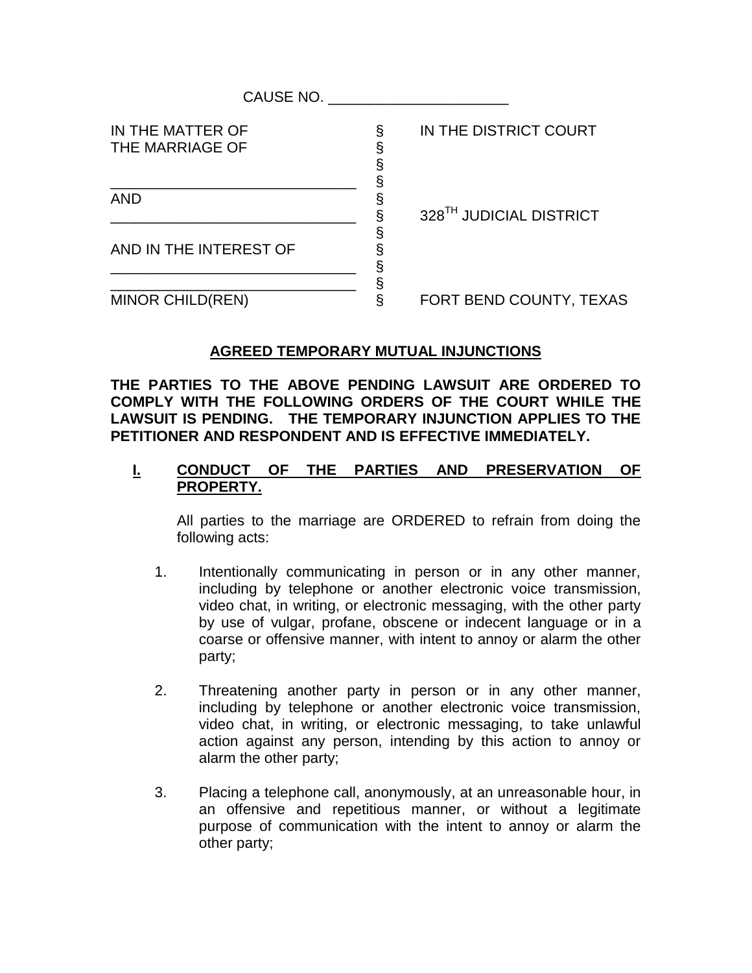| CAUSE NO.                           |   |                                     |
|-------------------------------------|---|-------------------------------------|
| IN THE MATTER OF<br>THE MARRIAGE OF | § | IN THE DISTRICT COURT               |
| <b>AND</b>                          |   | 328 <sup>TH</sup> JUDICIAL DISTRICT |
| AND IN THE INTEREST OF              |   |                                     |
| <b>MINOR CHILD(REN)</b>             |   | FORT BEND COUNTY, TEXAS             |

## **AGREED TEMPORARY MUTUAL INJUNCTIONS**

**THE PARTIES TO THE ABOVE PENDING LAWSUIT ARE ORDERED TO COMPLY WITH THE FOLLOWING ORDERS OF THE COURT WHILE THE LAWSUIT IS PENDING. THE TEMPORARY INJUNCTION APPLIES TO THE PETITIONER AND RESPONDENT AND IS EFFECTIVE IMMEDIATELY.**

## **I. CONDUCT OF THE PARTIES AND PRESERVATION OF PROPERTY.**

All parties to the marriage are ORDERED to refrain from doing the following acts:

- 1. Intentionally communicating in person or in any other manner, including by telephone or another electronic voice transmission, video chat, in writing, or electronic messaging, with the other party by use of vulgar, profane, obscene or indecent language or in a coarse or offensive manner, with intent to annoy or alarm the other party;
- 2. Threatening another party in person or in any other manner, including by telephone or another electronic voice transmission, video chat, in writing, or electronic messaging, to take unlawful action against any person, intending by this action to annoy or alarm the other party;
- 3. Placing a telephone call, anonymously, at an unreasonable hour, in an offensive and repetitious manner, or without a legitimate purpose of communication with the intent to annoy or alarm the other party;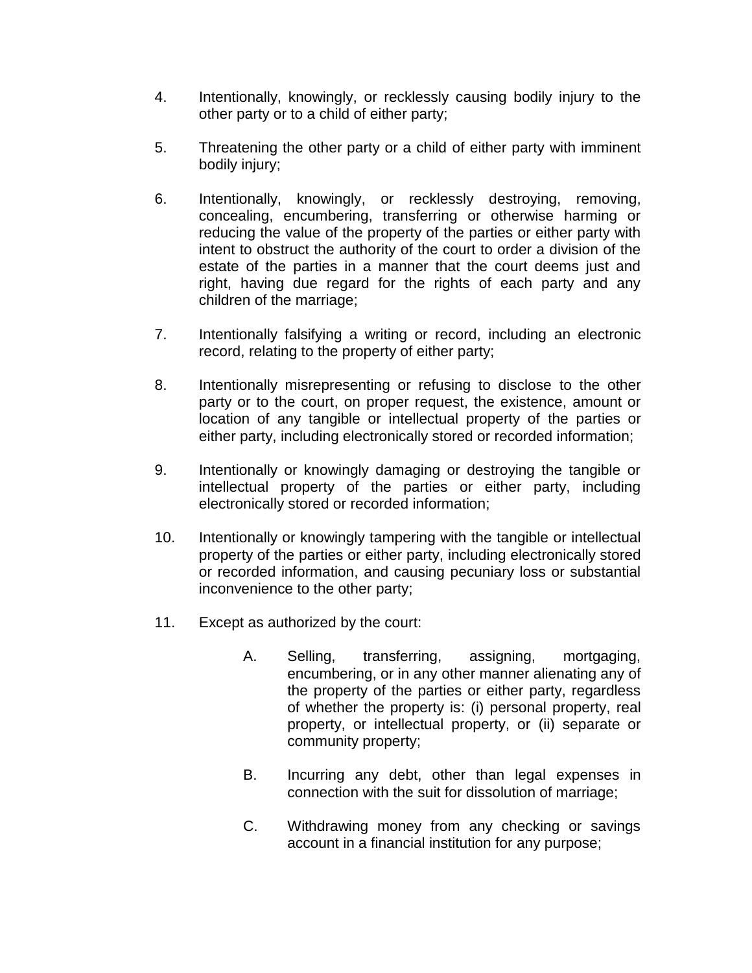- 4. Intentionally, knowingly, or recklessly causing bodily injury to the other party or to a child of either party;
- 5. Threatening the other party or a child of either party with imminent bodily injury;
- 6. Intentionally, knowingly, or recklessly destroying, removing, concealing, encumbering, transferring or otherwise harming or reducing the value of the property of the parties or either party with intent to obstruct the authority of the court to order a division of the estate of the parties in a manner that the court deems just and right, having due regard for the rights of each party and any children of the marriage;
- 7. Intentionally falsifying a writing or record, including an electronic record, relating to the property of either party;
- 8. Intentionally misrepresenting or refusing to disclose to the other party or to the court, on proper request, the existence, amount or location of any tangible or intellectual property of the parties or either party, including electronically stored or recorded information;
- 9. Intentionally or knowingly damaging or destroying the tangible or intellectual property of the parties or either party, including electronically stored or recorded information;
- 10. Intentionally or knowingly tampering with the tangible or intellectual property of the parties or either party, including electronically stored or recorded information, and causing pecuniary loss or substantial inconvenience to the other party;
- 11. Except as authorized by the court:
	- A. Selling, transferring, assigning, mortgaging, encumbering, or in any other manner alienating any of the property of the parties or either party, regardless of whether the property is: (i) personal property, real property, or intellectual property, or (ii) separate or community property;
	- B. Incurring any debt, other than legal expenses in connection with the suit for dissolution of marriage;
	- C. Withdrawing money from any checking or savings account in a financial institution for any purpose;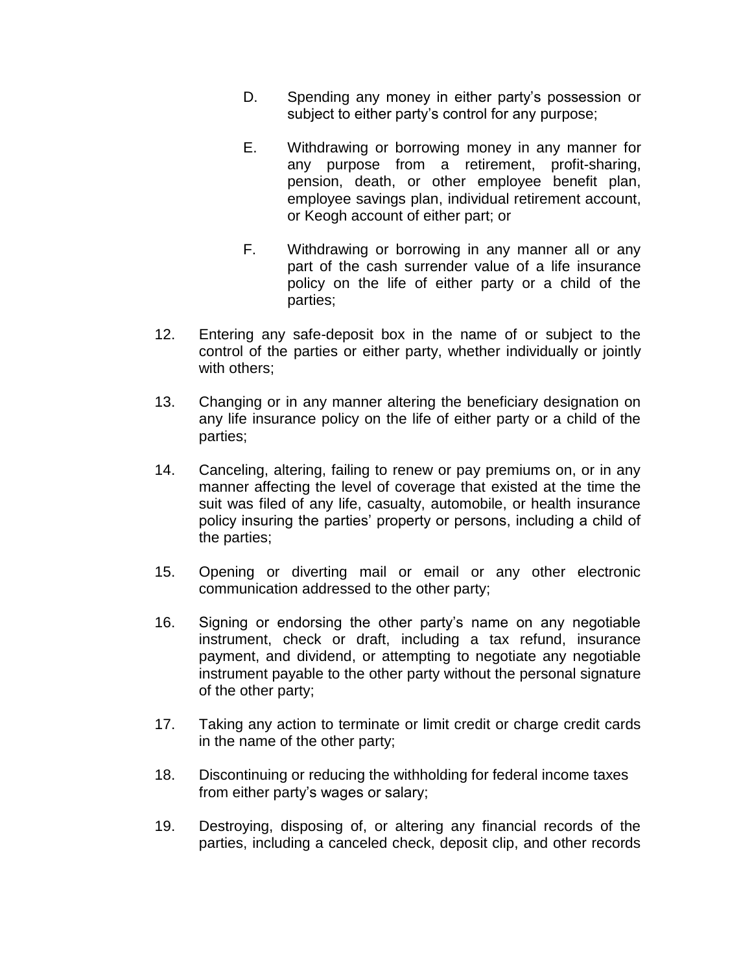- D. Spending any money in either party's possession or subject to either party's control for any purpose;
- E. Withdrawing or borrowing money in any manner for any purpose from a retirement, profit-sharing, pension, death, or other employee benefit plan, employee savings plan, individual retirement account, or Keogh account of either part; or
- F. Withdrawing or borrowing in any manner all or any part of the cash surrender value of a life insurance policy on the life of either party or a child of the parties;
- 12. Entering any safe-deposit box in the name of or subject to the control of the parties or either party, whether individually or jointly with others:
- 13. Changing or in any manner altering the beneficiary designation on any life insurance policy on the life of either party or a child of the parties;
- 14. Canceling, altering, failing to renew or pay premiums on, or in any manner affecting the level of coverage that existed at the time the suit was filed of any life, casualty, automobile, or health insurance policy insuring the parties' property or persons, including a child of the parties;
- 15. Opening or diverting mail or email or any other electronic communication addressed to the other party;
- 16. Signing or endorsing the other party's name on any negotiable instrument, check or draft, including a tax refund, insurance payment, and dividend, or attempting to negotiate any negotiable instrument payable to the other party without the personal signature of the other party;
- 17. Taking any action to terminate or limit credit or charge credit cards in the name of the other party;
- 18. Discontinuing or reducing the withholding for federal income taxes from either party's wages or salary;
- 19. Destroying, disposing of, or altering any financial records of the parties, including a canceled check, deposit clip, and other records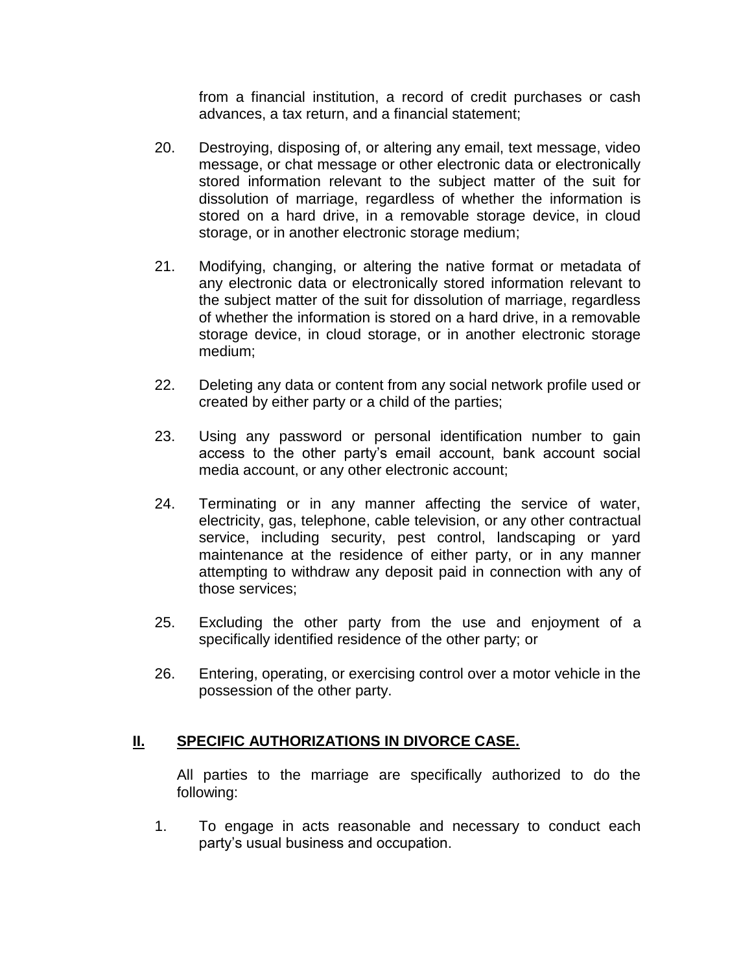from a financial institution, a record of credit purchases or cash advances, a tax return, and a financial statement;

- 20. Destroying, disposing of, or altering any email, text message, video message, or chat message or other electronic data or electronically stored information relevant to the subject matter of the suit for dissolution of marriage, regardless of whether the information is stored on a hard drive, in a removable storage device, in cloud storage, or in another electronic storage medium;
- 21. Modifying, changing, or altering the native format or metadata of any electronic data or electronically stored information relevant to the subject matter of the suit for dissolution of marriage, regardless of whether the information is stored on a hard drive, in a removable storage device, in cloud storage, or in another electronic storage medium;
- 22. Deleting any data or content from any social network profile used or created by either party or a child of the parties;
- 23. Using any password or personal identification number to gain access to the other party's email account, bank account social media account, or any other electronic account;
- 24. Terminating or in any manner affecting the service of water, electricity, gas, telephone, cable television, or any other contractual service, including security, pest control, landscaping or yard maintenance at the residence of either party, or in any manner attempting to withdraw any deposit paid in connection with any of those services;
- 25. Excluding the other party from the use and enjoyment of a specifically identified residence of the other party; or
- 26. Entering, operating, or exercising control over a motor vehicle in the possession of the other party.

## **II. SPECIFIC AUTHORIZATIONS IN DIVORCE CASE.**

All parties to the marriage are specifically authorized to do the following:

1. To engage in acts reasonable and necessary to conduct each party's usual business and occupation.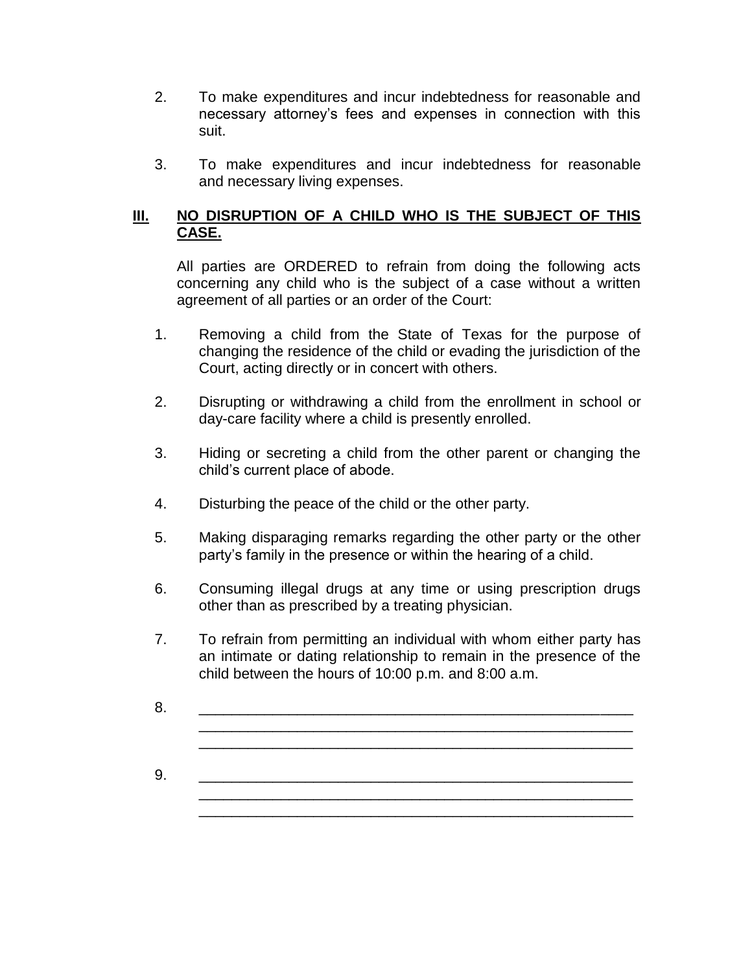- 2. To make expenditures and incur indebtedness for reasonable and necessary attorney's fees and expenses in connection with this suit.
- 3. To make expenditures and incur indebtedness for reasonable and necessary living expenses.

## **III. NO DISRUPTION OF A CHILD WHO IS THE SUBJECT OF THIS CASE.**

All parties are ORDERED to refrain from doing the following acts concerning any child who is the subject of a case without a written agreement of all parties or an order of the Court:

- 1. Removing a child from the State of Texas for the purpose of changing the residence of the child or evading the jurisdiction of the Court, acting directly or in concert with others.
- 2. Disrupting or withdrawing a child from the enrollment in school or day-care facility where a child is presently enrolled.
- 3. Hiding or secreting a child from the other parent or changing the child's current place of abode.
- 4. Disturbing the peace of the child or the other party.
- 5. Making disparaging remarks regarding the other party or the other party's family in the presence or within the hearing of a child.
- 6. Consuming illegal drugs at any time or using prescription drugs other than as prescribed by a treating physician.
- 7. To refrain from permitting an individual with whom either party has an intimate or dating relationship to remain in the presence of the child between the hours of 10:00 p.m. and 8:00 a.m.
- 8. \_\_\_\_\_\_\_\_\_\_\_\_\_\_\_\_\_\_\_\_\_\_\_\_\_\_\_\_\_\_\_\_\_\_\_\_\_\_\_\_\_\_\_\_\_\_\_\_\_\_\_\_\_ \_\_\_\_\_\_\_\_\_\_\_\_\_\_\_\_\_\_\_\_\_\_\_\_\_\_\_\_\_\_\_\_\_\_\_\_\_\_\_\_\_\_\_\_\_\_\_\_\_\_\_\_\_

\_\_\_\_\_\_\_\_\_\_\_\_\_\_\_\_\_\_\_\_\_\_\_\_\_\_\_\_\_\_\_\_\_\_\_\_\_\_\_\_\_\_\_\_\_\_\_\_\_\_\_\_\_

\_\_\_\_\_\_\_\_\_\_\_\_\_\_\_\_\_\_\_\_\_\_\_\_\_\_\_\_\_\_\_\_\_\_\_\_\_\_\_\_\_\_\_\_\_\_\_\_\_\_\_\_\_

9. \_\_\_\_\_\_\_\_\_\_\_\_\_\_\_\_\_\_\_\_\_\_\_\_\_\_\_\_\_\_\_\_\_\_\_\_\_\_\_\_\_\_\_\_\_\_\_\_\_\_\_\_\_